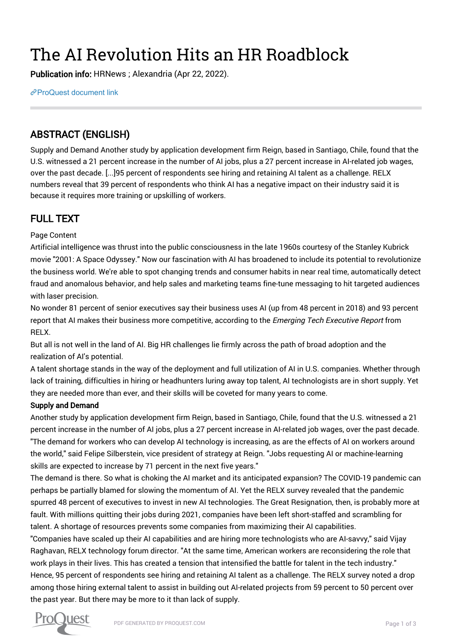# The AI Revolution Hits an HR Roadblock

Publication info: HRNews ; Alexandria (Apr 22, 2022).

[ProQuest document link](https://www.proquest.com/trade-journals/ai-revolution-hits-hr-roadblock/docview/2653559011/se-2?accountid=44910)

## ABSTRACT (ENGLISH)

Supply and Demand Another study by application development firm Reign, based in Santiago, Chile, found that the U.S. witnessed a 21 percent increase in the number of AI jobs, plus a 27 percent increase in AI-related job wages, over the past decade. [...]95 percent of respondents see hiring and retaining AI talent as a challenge. RELX numbers reveal that 39 percent of respondents who think AI has a negative impact on their industry said it is because it requires more training or upskilling of workers.

## FULL TEXT

#### Page Content

Artificial intelligence was thrust into the public consciousness in the late 1960s courtesy of the Stanley Kubrick movie "2001: A Space Odyssey." Now our fascination with AI has broadened to include its potential to revolutionize the business world. We're able to spot changing trends and consumer habits in near real time, automatically detect fraud and anomalous behavior, and help sales and marketing teams fine-tune messaging to hit targeted audiences with laser precision.

No wonder 81 percent of senior executives say their business uses AI (up from 48 percent in 2018) and 93 percent report that AI makes their business more competitive, according to the Emerging Tech Executive Report from RELX.

But all is not well in the land of AI. Big HR challenges lie firmly across the path of broad adoption and the realization of AI's potential.

A talent shortage stands in the way of the deployment and full utilization of AI in U.S. companies. Whether through lack of training, difficulties in hiring or headhunters luring away top talent, AI technologists are in short supply. Yet they are needed more than ever, and their skills will be coveted for many years to come.

#### Supply and Demand

Another study by application development firm Reign, based in Santiago, Chile, found that the U.S. witnessed a 21 percent increase in the number of AI jobs, plus a 27 percent increase in AI-related job wages, over the past decade. "The demand for workers who can develop AI technology is increasing, as are the effects of AI on workers around the world," said Felipe Silberstein, vice president of strategy at Reign. "Jobs requesting AI or machine-learning skills are expected to increase by 71 percent in the next five years."

The demand is there. So what is choking the AI market and its anticipated expansion? The COVID-19 pandemic can perhaps be partially blamed for slowing the momentum of AI. Yet the RELX survey revealed that the pandemic spurred 48 percent of executives to invest in new AI technologies. The Great Resignation, then, is probably more at fault. With millions quitting their jobs during 2021, companies have been left short-staffed and scrambling for talent. A shortage of resources prevents some companies from maximizing their AI capabilities.

"Companies have scaled up their AI capabilities and are hiring more technologists who are AI-savvy," said Vijay Raghavan, RELX technology forum director. "At the same time, American workers are reconsidering the role that work plays in their lives. This has created a tension that intensified the battle for talent in the tech industry." Hence, 95 percent of respondents see hiring and retaining AI talent as a challenge. The RELX survey noted a drop among those hiring external talent to assist in building out AI-related projects from 59 percent to 50 percent over the past year. But there may be more to it than lack of supply.

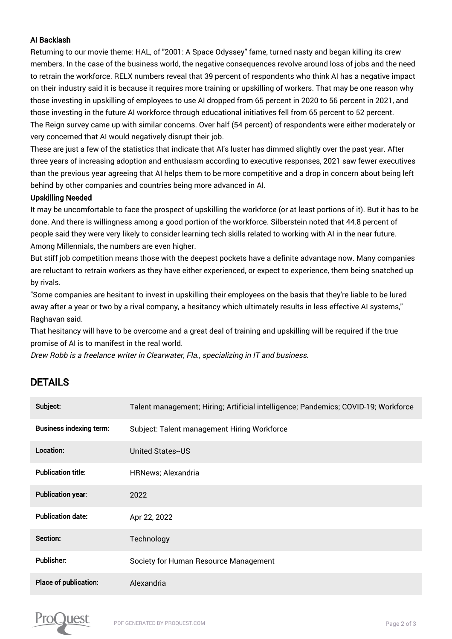#### AI Backlash

Returning to our movie theme: HAL, of "2001: A Space Odyssey" fame, turned nasty and began killing its crew members. In the case of the business world, the negative consequences revolve around loss of jobs and the need to retrain the workforce. RELX numbers reveal that 39 percent of respondents who think AI has a negative impact on their industry said it is because it requires more training or upskilling of workers. That may be one reason why those investing in upskilling of employees to use AI dropped from 65 percent in 2020 to 56 percent in 2021, and those investing in the future AI workforce through educational initiatives fell from 65 percent to 52 percent. The Reign survey came up with similar concerns. Over half (54 percent) of respondents were either moderately or very concerned that AI would negatively disrupt their job.

These are just a few of the statistics that indicate that AI's luster has dimmed slightly over the past year. After three years of increasing adoption and enthusiasm according to executive responses, 2021 saw fewer executives than the previous year agreeing that AI helps them to be more competitive and a drop in concern about being left behind by other companies and countries being more advanced in AI.

#### Upskilling Needed

It may be uncomfortable to face the prospect of upskilling the workforce (or at least portions of it). But it has to be done. And there is willingness among a good portion of the workforce. Silberstein noted that 44.8 percent of people said they were very likely to consider learning tech skills related to working with AI in the near future. Among Millennials, the numbers are even higher.

But stiff job competition means those with the deepest pockets have a definite advantage now. Many companies are reluctant to retrain workers as they have either experienced, or expect to experience, them being snatched up by rivals.

"Some companies are hesitant to invest in upskilling their employees on the basis that they're liable to be lured away after a year or two by a rival company, a hesitancy which ultimately results in less effective AI systems," Raghavan said.

That hesitancy will have to be overcome and a great deal of training and upskilling will be required if the true promise of AI is to manifest in the real world.

Drew Robb is a freelance writer in Clearwater, Fla., specializing in IT and business.

### DETAILS

| Subject:                       | Talent management; Hiring; Artificial intelligence; Pandemics; COVID-19; Workforce |
|--------------------------------|------------------------------------------------------------------------------------|
| <b>Business indexing term:</b> | Subject: Talent management Hiring Workforce                                        |
| Location:                      | United States-US                                                                   |
| <b>Publication title:</b>      | <b>HRNews</b> ; Alexandria                                                         |
| <b>Publication year:</b>       | 2022                                                                               |
| <b>Publication date:</b>       | Apr 22, 2022                                                                       |
| Section:                       | Technology                                                                         |
| <b>Publisher:</b>              | Society for Human Resource Management                                              |
| Place of publication:          | Alexandria                                                                         |